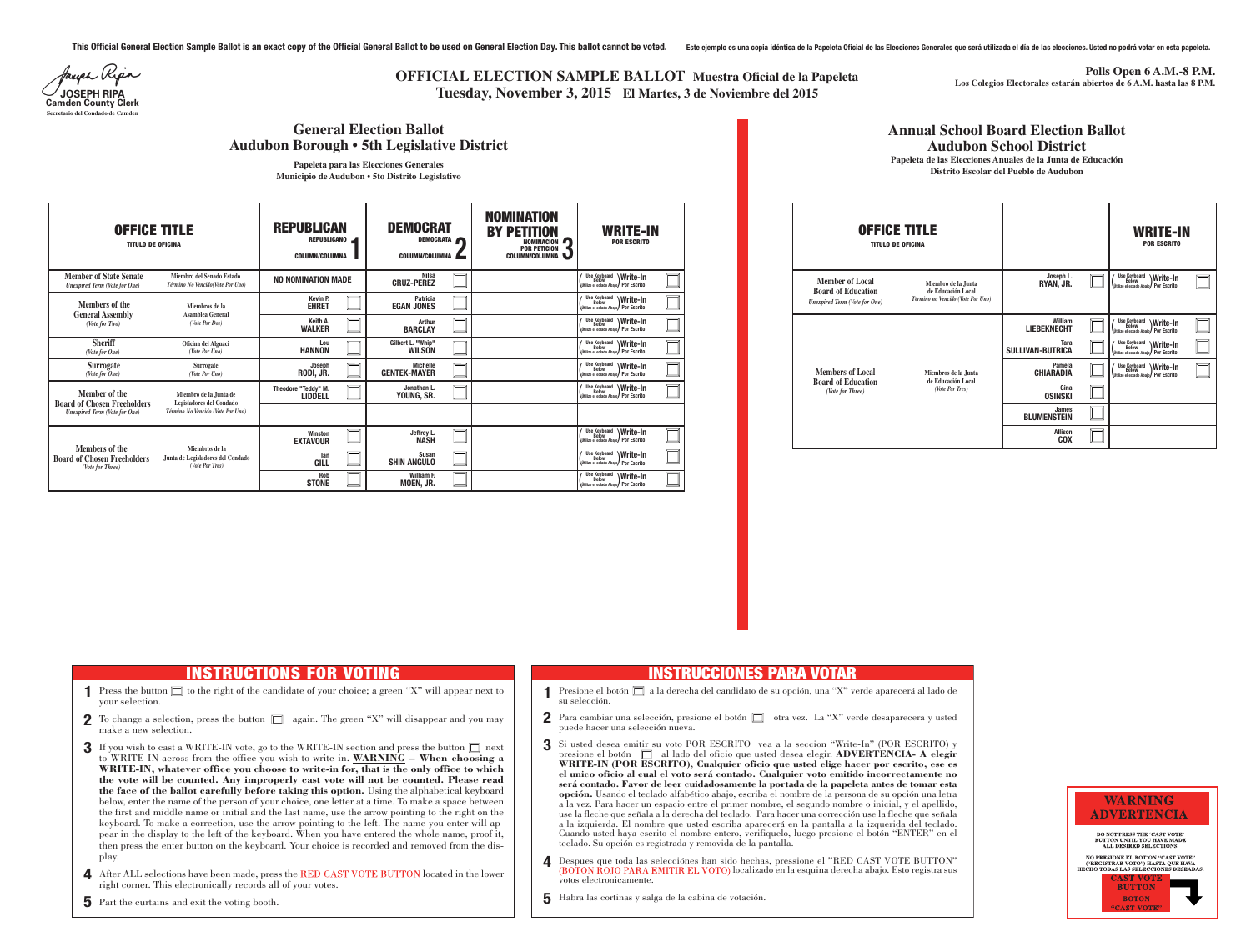**WRITE-IN POR ESCRITO**

> **Write-In Por Escrito**

> **Write-In Por Escrito**

> **Write-In Por Escrito**

| <b>OFFICE TITLE</b><br><b>TITULO DE OFICINA</b>                                             |                                                                                         | <b>REPUBLICAN</b><br><b>REPUBLICANO</b><br><b>COLUMN/COLUMNA</b> | <b>DEMOCRAT</b><br><b>DEMOCRATA</b><br><b>COLUMN/COLUMNA</b> |  | <b>NOMINATION</b><br><b>BY PETITION</b><br>NOMINACION <sup>1</sup><br><b>POR PETICION</b><br><b>COLUMN/COLUMNA</b> | <b>WRITE-IN</b><br><b>POR ESCRITO</b>                                                     |
|---------------------------------------------------------------------------------------------|-----------------------------------------------------------------------------------------|------------------------------------------------------------------|--------------------------------------------------------------|--|--------------------------------------------------------------------------------------------------------------------|-------------------------------------------------------------------------------------------|
| <b>Member of State Senate</b><br><b>Unexpired Term (Vote for One)</b>                       | Miembro del Senado Estado<br>Término No Vencido(Vote Por Uno)                           | <b>NO NOMINATION MADE</b>                                        | Nilsa<br><b>CRUZ-PEREZ</b>                                   |  |                                                                                                                    | <b>Use Keyboard</b><br>Write-In<br><b>Below</b><br>Willize el eclado Abaio / Por Escrito  |
| <b>Members of the</b><br><b>General Assembly</b><br>(Vote for Two)                          | Miembros de la<br>Asamblea General<br>(Vote Por Dos)                                    | <b>Kevin P.</b><br><b>EHRET</b>                                  | <b>Patricia</b><br><b>EGAN JONES</b>                         |  |                                                                                                                    | <b>Use Keyboard</b><br>Below<br>Write-In<br>Utilize el eclado Abajo / Por Escrito         |
|                                                                                             |                                                                                         | Keith A.<br><b>WALKER</b>                                        | <b>Arthur</b><br><b>BARCLAY</b>                              |  |                                                                                                                    | <b>Use Keyboard</b><br>Below<br><b>Write-In</b><br>Vútilize el eclado Abaio / Por Escrito |
| <b>Sheriff</b><br>(Vote for One)                                                            | Oficina del Alguaci<br>(Vote Por Uno)                                                   | Lou<br><b>HANNON</b>                                             | Gilbert L. "Whip"<br><b>WILSON</b>                           |  |                                                                                                                    | <b>Use Keyboard</b><br>Below<br>Write-In<br>Vitilize el eclado Abaio / Por Escrito        |
| <b>Surrogate</b><br>(Vote for One)                                                          | <b>Surrogate</b><br>(Vote Por Uno)                                                      | Joseph<br>RODI, JR.                                              | <b>Michelle</b><br><b>GENTEK-MAYER</b>                       |  |                                                                                                                    | <b>Use Keyboard</b><br>Write-In<br><b>Below</b><br>Utilize el eclado Abajo / Por Escrito  |
| Member of the<br><b>Board of Chosen Freeholders</b><br><b>Unexpired Term (Vote for One)</b> | Miembro de la Junta de<br>Legisladores del Condado<br>Término No Vencido (Vote Por Uno) | Theodore "Teddy" M.<br><b>LIDDELL</b>                            | Jonathan L.<br>YOUNG, SR.                                    |  |                                                                                                                    | Use Keyboard<br>Below<br>Write-In<br>Utilize el eclado Abajo / Por Escrito                |
|                                                                                             |                                                                                         |                                                                  |                                                              |  |                                                                                                                    |                                                                                           |
| <b>Members of the</b><br><b>Board of Chosen Freeholders</b><br>(Vote for Three)             | Miembros de la<br>Junta de Legisladores del Condado<br>(Vote Por Tres)                  | Winston<br><b>EXTAVOUR</b>                                       | Jeffrey L.<br><b>NASH</b>                                    |  |                                                                                                                    | <b>Use Keyboard</b><br>Below<br><b>Write-In</b><br>Utilize el eclado Abajo / Por Escrito  |
|                                                                                             |                                                                                         | lan<br><b>GILL</b>                                               | <b>Susan</b><br><b>SHIN ANGULO</b>                           |  |                                                                                                                    | <b>Use Keyboard</b><br>Below<br>Write-In<br>Utilize el eclado Abajo / Por Escrito         |
|                                                                                             |                                                                                         | <b>Rob</b><br><b>STONE</b>                                       | William F.<br>MOEN, JR.                                      |  |                                                                                                                    | Use Keyboard<br>Below<br><b>Write-In</b><br>Utilize el eclado Abajo / Por Escrito         |

This Official General Election Sample Ballot is an exact copy of the Official General Ballot to be used on General Election Day. This ballot cannot be voted. Este ejemplo es una copia idéntica de la Papeleta Oficial de las

Jauph Ripa **Camden County Clerk Secretario del Condado de Camden**

#### **OFFICE TITLE TITULO DE OFICINA William LIEBEKNECHT Pamela CHIARADIA (** Use Keyboard<br> **Utilize el eclado Abajo Tara SULLIVAN-BUTRICA Gina OSINSKI Allison COX James BLUMENSTEIN (** Use Keyboard<br>
(
Útilize el eclado Abajo) **(** Use Keyboard<br> **Utilize el eclado Abajo Joseph L. RYAN, JR.**  $\left[\begin{matrix} \text{Use Keyboard} \\ \text{Quon} \\ \text{Quitze el eclado Abajo} \end{matrix}\right)$  Por Escrito **( Use Keyboard**<br> **Where** Below<br> **Where** el eclado Abajo **Members of Local Board of Education** *(Vote for Three)* **Miembros de la Junta de Educación Local** *(Vote Por Tres)* **Member of Local Board of Education** *Unexpired Term (Vote for One)* **Miembro de la Junta de Educación Local** *Término no Vencido (Vote Por Uno)* **Annual School Board Election Ballot Audubon School District Papeleta de las Elecciones Anuales de la Junta de Educación Distrito Escolar del Pueblo de Audubon**

- **1** Press the button  $\Box$  to the right of the candidate of your choice; a green "X" will appear next to your selection.
- **2** To change a selection, press the button  $\Box$  again. The green "X" will disappear and you may make a new selection.
- **3** If you wish to cast a WRITE-IN vote, go to the WRITE-IN section and press the button  $\Box$  next to WRITE-IN across from the office you wish to write-in. **WARNING – When choosing a WRITE-IN, whatever office you choose to write-in for, that is the only office to which the vote will be counted. Any improperly cast vote will not be counted. Please read the face of the ballot carefully before taking this option.** Using the alphabetical keyboard below, enter the name of the person of your choice, one letter at a time. To make a space between the first and middle name or initial and the last name, use the arrow pointing to the right on the keyboard. To make a correction, use the arrow pointing to the left. The name you enter will appear in the display to the left of the keyboard. When you have entered the whole name, proof it, then press the enter button on the keyboard. Your choice is recorded and removed from the display.
- **4** After ALL selections have been made, press the RED CAST VOTE BUTTON located in the lower right corner. This electronically records all of your votes.

## **OFFICIAL ELECTION SAMPLE BALLOT Muestra Oficial de la Papeleta JOSEPH RIPA Tuesday, November 3, 2015 El Martes, 3 de Noviembre del 2015**

Si usted desea emitir su voto POR ESCRITO vea a la seccion "Write-In" (POR ESCRITO) y presione el botón  $\Box$  al lado del oficio que usted desea elegir. **ADVERTENCIA- A elegir WRITE-IN (POR ESCRITO), Cualquier oficio que usted elige hacer por escrito, ese es el unico oficio al cual el voto serácontado. Cualquier voto emitido incorrectamente no serácontado. Favor de leer cuidadosamente la portada de la papeleta antes de tomar esta opción.** Usando el teclado alfabético abajo, escriba el nombre de la persona de su opción una letra a la vez. Para hacer un espacio entre el primer nombre, el segundo nombre o inicial, y el apellido, use la fleche que señala a la derecha del teclado. Para hacer una corrección use la fleche que señala a la izquierda. El nombre que usted escriba aparecerá en la pantalla a la izquerida del teclado. Cuando usted haya escrito el nombre entero, verifiquelo, luego presione el botón "ENTER" en el

**4** Despues que toda las selecciónes han sido hechas, pressione el "RED CAST VOTE BUTTON" (BOTON ROJO PARA EMITIR EL VOTO) localizado en la esquina derecha abajo. Esto registra sus



**Polls Open 6 A.M.-8 P.M. Los Colegios Electorales estarán abiertos de 6 A.M. hasta las 8 P.M.**

### **General Election Ballot Audubon Borough • 5th Legislative District**

**Papeleta para las Elecciones Generales Municipio de Audubon • 5to Distrito Legislativo**

# **INSTRUCTIONS FOR VOTING**

su selección.

- 
- puede hacer una selección nueva.

- teclado. Su opción es registrada y removida de la pantalla.
- votos electronicamente.
- Habra las cortinas y salga de la cabina de votación. **5**

**5** Part the curtains and exit the voting booth.

#### **INSTRUCCIONES PARA VOTAR**

Presione el botón  $\Box$  a la derecha del candidato de su opción, una "X" verde aparecerá al lado de

**2** Para cambiar una selección, presione el botón  $\Box$  otra vez. La "X" verde desaparecera y usted